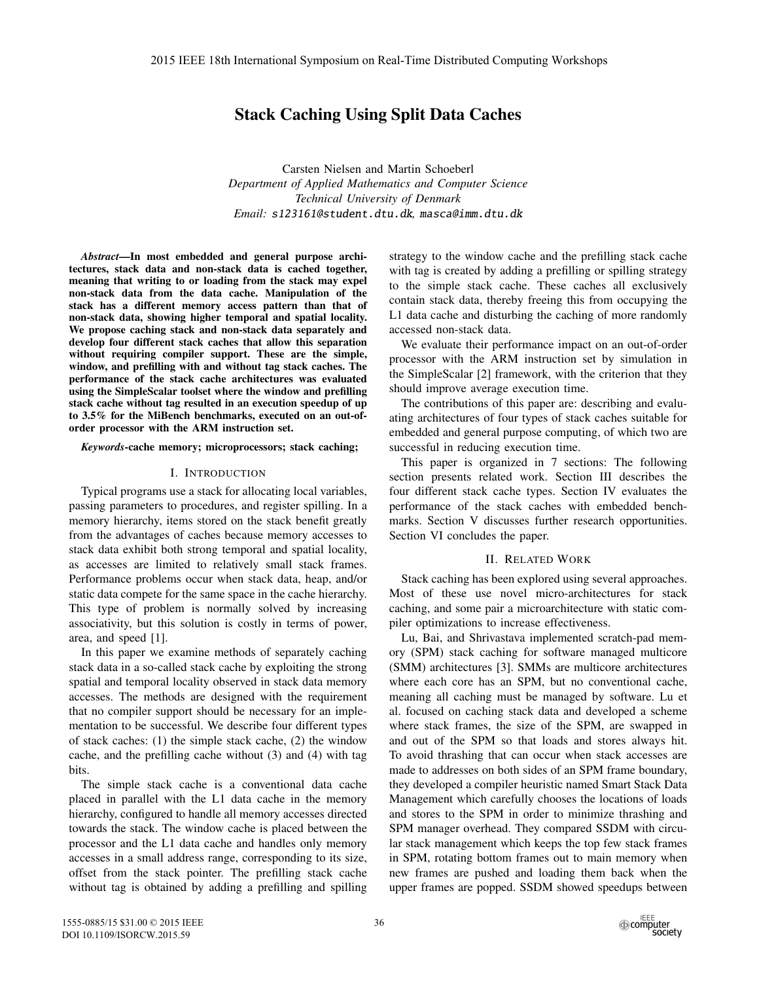# Stack Caching Using Split Data Caches

Carsten Nielsen and Martin Schoeberl *Department of Applied Mathematics and Computer Science Technical University of Denmark Email:* s123161@student.dtu.dk*,* masca@imm.dtu.dk

*Abstract*—In most embedded and general purpose architectures, stack data and non-stack data is cached together, meaning that writing to or loading from the stack may expel non-stack data from the data cache. Manipulation of the stack has a different memory access pattern than that of non-stack data, showing higher temporal and spatial locality. We propose caching stack and non-stack data separately and develop four different stack caches that allow this separation without requiring compiler support. These are the simple, window, and prefilling with and without tag stack caches. The performance of the stack cache architectures was evaluated using the SimpleScalar toolset where the window and prefilling stack cache without tag resulted in an execution speedup of up to 3.5% for the MiBench benchmarks, executed on an out-oforder processor with the ARM instruction set.

#### *Keywords*-cache memory; microprocessors; stack caching;

#### I. INTRODUCTION

Typical programs use a stack for allocating local variables, passing parameters to procedures, and register spilling. In a memory hierarchy, items stored on the stack benefit greatly from the advantages of caches because memory accesses to stack data exhibit both strong temporal and spatial locality, as accesses are limited to relatively small stack frames. Performance problems occur when stack data, heap, and/or static data compete for the same space in the cache hierarchy. This type of problem is normally solved by increasing associativity, but this solution is costly in terms of power, area, and speed [1].

In this paper we examine methods of separately caching stack data in a so-called stack cache by exploiting the strong spatial and temporal locality observed in stack data memory accesses. The methods are designed with the requirement that no compiler support should be necessary for an implementation to be successful. We describe four different types of stack caches: (1) the simple stack cache, (2) the window cache, and the prefilling cache without (3) and (4) with tag bits.

The simple stack cache is a conventional data cache placed in parallel with the L1 data cache in the memory hierarchy, configured to handle all memory accesses directed towards the stack. The window cache is placed between the processor and the L1 data cache and handles only memory accesses in a small address range, corresponding to its size, offset from the stack pointer. The prefilling stack cache without tag is obtained by adding a prefilling and spilling strategy to the window cache and the prefilling stack cache with tag is created by adding a prefilling or spilling strategy to the simple stack cache. These caches all exclusively contain stack data, thereby freeing this from occupying the L1 data cache and disturbing the caching of more randomly accessed non-stack data.

We evaluate their performance impact on an out-of-order processor with the ARM instruction set by simulation in the SimpleScalar [2] framework, with the criterion that they should improve average execution time.

The contributions of this paper are: describing and evaluating architectures of four types of stack caches suitable for embedded and general purpose computing, of which two are successful in reducing execution time.

This paper is organized in 7 sections: The following section presents related work. Section III describes the four different stack cache types. Section IV evaluates the performance of the stack caches with embedded benchmarks. Section V discusses further research opportunities. Section VI concludes the paper.

### II. RELATED WORK

Stack caching has been explored using several approaches. Most of these use novel micro-architectures for stack caching, and some pair a microarchitecture with static compiler optimizations to increase effectiveness.

Lu, Bai, and Shrivastava implemented scratch-pad memory (SPM) stack caching for software managed multicore (SMM) architectures [3]. SMMs are multicore architectures where each core has an SPM, but no conventional cache, meaning all caching must be managed by software. Lu et al. focused on caching stack data and developed a scheme where stack frames, the size of the SPM, are swapped in and out of the SPM so that loads and stores always hit. To avoid thrashing that can occur when stack accesses are made to addresses on both sides of an SPM frame boundary, they developed a compiler heuristic named Smart Stack Data Management which carefully chooses the locations of loads and stores to the SPM in order to minimize thrashing and SPM manager overhead. They compared SSDM with circular stack management which keeps the top few stack frames in SPM, rotating bottom frames out to main memory when new frames are pushed and loading them back when the upper frames are popped. SSDM showed speedups between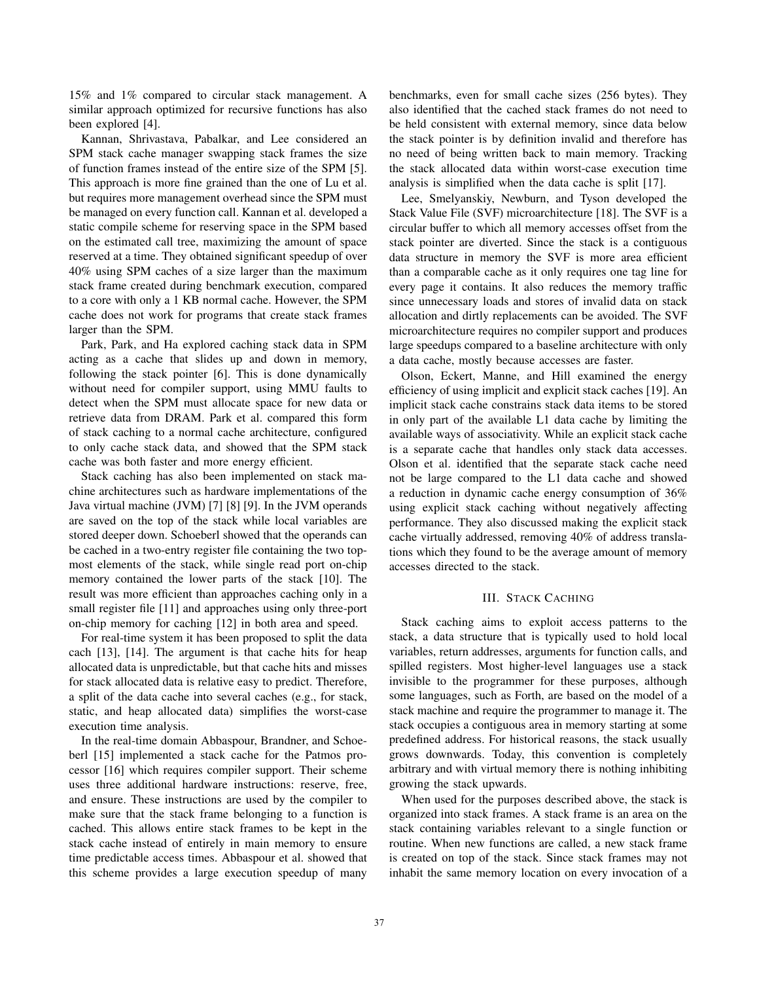15% and 1% compared to circular stack management. A similar approach optimized for recursive functions has also been explored [4].

Kannan, Shrivastava, Pabalkar, and Lee considered an SPM stack cache manager swapping stack frames the size of function frames instead of the entire size of the SPM [5]. This approach is more fine grained than the one of Lu et al. but requires more management overhead since the SPM must be managed on every function call. Kannan et al. developed a static compile scheme for reserving space in the SPM based on the estimated call tree, maximizing the amount of space reserved at a time. They obtained significant speedup of over 40% using SPM caches of a size larger than the maximum stack frame created during benchmark execution, compared to a core with only a 1 KB normal cache. However, the SPM cache does not work for programs that create stack frames larger than the SPM.

Park, Park, and Ha explored caching stack data in SPM acting as a cache that slides up and down in memory, following the stack pointer [6]. This is done dynamically without need for compiler support, using MMU faults to detect when the SPM must allocate space for new data or retrieve data from DRAM. Park et al. compared this form of stack caching to a normal cache architecture, configured to only cache stack data, and showed that the SPM stack cache was both faster and more energy efficient.

Stack caching has also been implemented on stack machine architectures such as hardware implementations of the Java virtual machine (JVM) [7] [8] [9]. In the JVM operands are saved on the top of the stack while local variables are stored deeper down. Schoeberl showed that the operands can be cached in a two-entry register file containing the two topmost elements of the stack, while single read port on-chip memory contained the lower parts of the stack [10]. The result was more efficient than approaches caching only in a small register file [11] and approaches using only three-port on-chip memory for caching [12] in both area and speed.

For real-time system it has been proposed to split the data cach [13], [14]. The argument is that cache hits for heap allocated data is unpredictable, but that cache hits and misses for stack allocated data is relative easy to predict. Therefore, a split of the data cache into several caches (e.g., for stack, static, and heap allocated data) simplifies the worst-case execution time analysis.

In the real-time domain Abbaspour, Brandner, and Schoeberl [15] implemented a stack cache for the Patmos processor [16] which requires compiler support. Their scheme uses three additional hardware instructions: reserve, free, and ensure. These instructions are used by the compiler to make sure that the stack frame belonging to a function is cached. This allows entire stack frames to be kept in the stack cache instead of entirely in main memory to ensure time predictable access times. Abbaspour et al. showed that this scheme provides a large execution speedup of many

benchmarks, even for small cache sizes (256 bytes). They also identified that the cached stack frames do not need to be held consistent with external memory, since data below the stack pointer is by definition invalid and therefore has no need of being written back to main memory. Tracking the stack allocated data within worst-case execution time analysis is simplified when the data cache is split [17].

Lee, Smelyanskiy, Newburn, and Tyson developed the Stack Value File (SVF) microarchitecture [18]. The SVF is a circular buffer to which all memory accesses offset from the stack pointer are diverted. Since the stack is a contiguous data structure in memory the SVF is more area efficient than a comparable cache as it only requires one tag line for every page it contains. It also reduces the memory traffic since unnecessary loads and stores of invalid data on stack allocation and dirtly replacements can be avoided. The SVF microarchitecture requires no compiler support and produces large speedups compared to a baseline architecture with only a data cache, mostly because accesses are faster.

Olson, Eckert, Manne, and Hill examined the energy efficiency of using implicit and explicit stack caches [19]. An implicit stack cache constrains stack data items to be stored in only part of the available L1 data cache by limiting the available ways of associativity. While an explicit stack cache is a separate cache that handles only stack data accesses. Olson et al. identified that the separate stack cache need not be large compared to the L1 data cache and showed a reduction in dynamic cache energy consumption of 36% using explicit stack caching without negatively affecting performance. They also discussed making the explicit stack cache virtually addressed, removing 40% of address translations which they found to be the average amount of memory accesses directed to the stack.

### III. STACK CACHING

Stack caching aims to exploit access patterns to the stack, a data structure that is typically used to hold local variables, return addresses, arguments for function calls, and spilled registers. Most higher-level languages use a stack invisible to the programmer for these purposes, although some languages, such as Forth, are based on the model of a stack machine and require the programmer to manage it. The stack occupies a contiguous area in memory starting at some predefined address. For historical reasons, the stack usually grows downwards. Today, this convention is completely arbitrary and with virtual memory there is nothing inhibiting growing the stack upwards.

When used for the purposes described above, the stack is organized into stack frames. A stack frame is an area on the stack containing variables relevant to a single function or routine. When new functions are called, a new stack frame is created on top of the stack. Since stack frames may not inhabit the same memory location on every invocation of a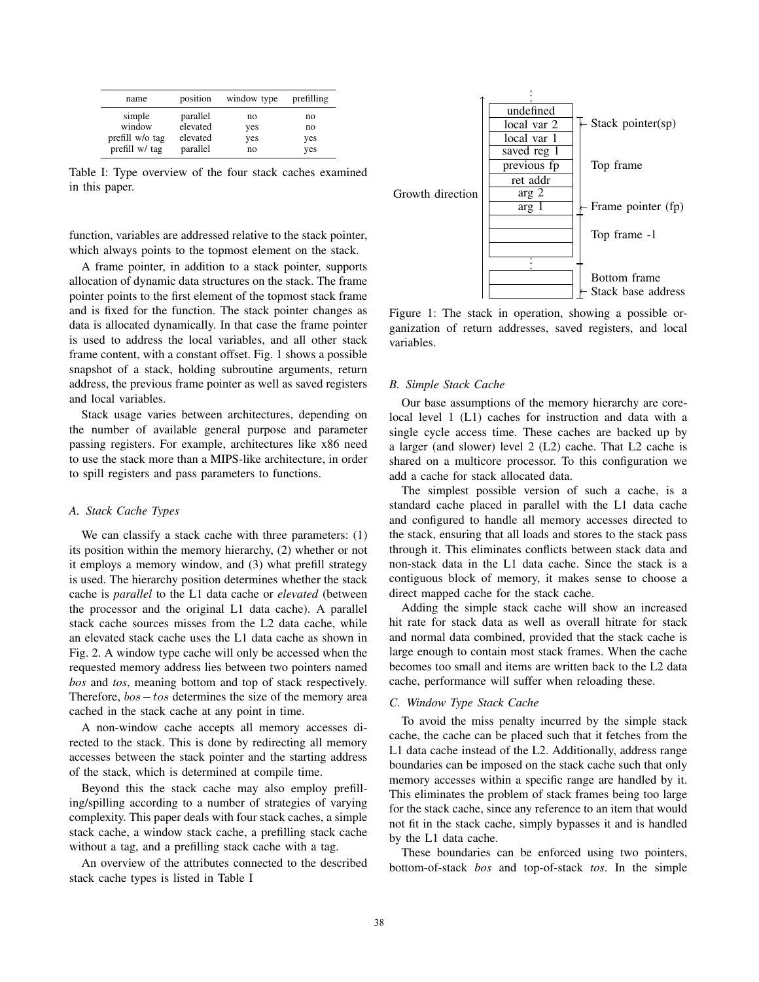| name            | position | window type | prefilling |
|-----------------|----------|-------------|------------|
| simple          | parallel | no          | no         |
| window          | elevated | yes         | no         |
| prefill w/o tag | elevated | yes         | yes        |
| prefill w/ tag  | parallel | no          | yes        |

Table I: Type overview of the four stack caches examined in this paper.

function, variables are addressed relative to the stack pointer, which always points to the topmost element on the stack.

A frame pointer, in addition to a stack pointer, supports allocation of dynamic data structures on the stack. The frame pointer points to the first element of the topmost stack frame and is fixed for the function. The stack pointer changes as data is allocated dynamically. In that case the frame pointer is used to address the local variables, and all other stack frame content, with a constant offset. Fig. 1 shows a possible snapshot of a stack, holding subroutine arguments, return address, the previous frame pointer as well as saved registers and local variables.

Stack usage varies between architectures, depending on the number of available general purpose and parameter passing registers. For example, architectures like x86 need to use the stack more than a MIPS-like architecture, in order to spill registers and pass parameters to functions.

### *A. Stack Cache Types*

We can classify a stack cache with three parameters: (1) its position within the memory hierarchy, (2) whether or not it employs a memory window, and (3) what prefill strategy is used. The hierarchy position determines whether the stack cache is *parallel* to the L1 data cache or *elevated* (between the processor and the original L1 data cache). A parallel stack cache sources misses from the L2 data cache, while an elevated stack cache uses the L1 data cache as shown in Fig. 2. A window type cache will only be accessed when the requested memory address lies between two pointers named *bos* and *tos*, meaning bottom and top of stack respectively. Therefore, bos−tos determines the size of the memory area cached in the stack cache at any point in time.

A non-window cache accepts all memory accesses directed to the stack. This is done by redirecting all memory accesses between the stack pointer and the starting address of the stack, which is determined at compile time.

Beyond this the stack cache may also employ prefilling/spilling according to a number of strategies of varying complexity. This paper deals with four stack caches, a simple stack cache, a window stack cache, a prefilling stack cache without a tag, and a prefilling stack cache with a tag.

An overview of the attributes connected to the described stack cache types is listed in Table I



Figure 1: The stack in operation, showing a possible organization of return addresses, saved registers, and local variables.

#### *B. Simple Stack Cache*

Our base assumptions of the memory hierarchy are corelocal level 1 (L1) caches for instruction and data with a single cycle access time. These caches are backed up by a larger (and slower) level 2 (L2) cache. That L2 cache is shared on a multicore processor. To this configuration we add a cache for stack allocated data.

The simplest possible version of such a cache, is a standard cache placed in parallel with the L1 data cache and configured to handle all memory accesses directed to the stack, ensuring that all loads and stores to the stack pass through it. This eliminates conflicts between stack data and non-stack data in the L1 data cache. Since the stack is a contiguous block of memory, it makes sense to choose a direct mapped cache for the stack cache.

Adding the simple stack cache will show an increased hit rate for stack data as well as overall hitrate for stack and normal data combined, provided that the stack cache is large enough to contain most stack frames. When the cache becomes too small and items are written back to the L2 data cache, performance will suffer when reloading these.

## *C. Window Type Stack Cache*

To avoid the miss penalty incurred by the simple stack cache, the cache can be placed such that it fetches from the L1 data cache instead of the L2. Additionally, address range boundaries can be imposed on the stack cache such that only memory accesses within a specific range are handled by it. This eliminates the problem of stack frames being too large for the stack cache, since any reference to an item that would not fit in the stack cache, simply bypasses it and is handled by the L1 data cache.

These boundaries can be enforced using two pointers, bottom-of-stack *bos* and top-of-stack *tos*. In the simple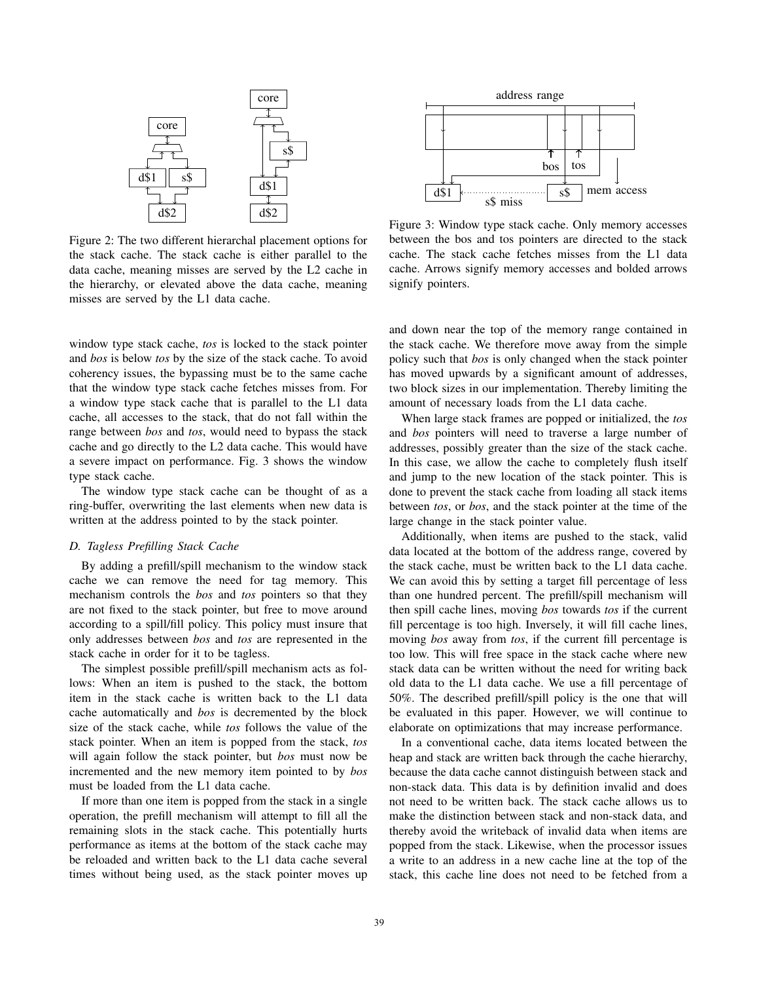

Figure 2: The two different hierarchal placement options for the stack cache. The stack cache is either parallel to the data cache, meaning misses are served by the L2 cache in the hierarchy, or elevated above the data cache, meaning misses are served by the L1 data cache.

window type stack cache, *tos* is locked to the stack pointer and *bos* is below *tos* by the size of the stack cache. To avoid coherency issues, the bypassing must be to the same cache that the window type stack cache fetches misses from. For a window type stack cache that is parallel to the L1 data cache, all accesses to the stack, that do not fall within the range between *bos* and *tos*, would need to bypass the stack cache and go directly to the L2 data cache. This would have a severe impact on performance. Fig. 3 shows the window type stack cache.

The window type stack cache can be thought of as a ring-buffer, overwriting the last elements when new data is written at the address pointed to by the stack pointer.

## *D. Tagless Prefilling Stack Cache*

By adding a prefill/spill mechanism to the window stack cache we can remove the need for tag memory. This mechanism controls the *bos* and *tos* pointers so that they are not fixed to the stack pointer, but free to move around according to a spill/fill policy. This policy must insure that only addresses between *bos* and *tos* are represented in the stack cache in order for it to be tagless.

The simplest possible prefill/spill mechanism acts as follows: When an item is pushed to the stack, the bottom item in the stack cache is written back to the L1 data cache automatically and *bos* is decremented by the block size of the stack cache, while *tos* follows the value of the stack pointer. When an item is popped from the stack, *tos* will again follow the stack pointer, but *bos* must now be incremented and the new memory item pointed to by *bos* must be loaded from the L1 data cache.

If more than one item is popped from the stack in a single operation, the prefill mechanism will attempt to fill all the remaining slots in the stack cache. This potentially hurts performance as items at the bottom of the stack cache may be reloaded and written back to the L1 data cache several times without being used, as the stack pointer moves up



Figure 3: Window type stack cache. Only memory accesses between the bos and tos pointers are directed to the stack cache. The stack cache fetches misses from the L1 data cache. Arrows signify memory accesses and bolded arrows signify pointers.

and down near the top of the memory range contained in the stack cache. We therefore move away from the simple policy such that *bos* is only changed when the stack pointer has moved upwards by a significant amount of addresses, two block sizes in our implementation. Thereby limiting the amount of necessary loads from the L1 data cache.

When large stack frames are popped or initialized, the *tos* and *bos* pointers will need to traverse a large number of addresses, possibly greater than the size of the stack cache. In this case, we allow the cache to completely flush itself and jump to the new location of the stack pointer. This is done to prevent the stack cache from loading all stack items between *tos*, or *bos*, and the stack pointer at the time of the large change in the stack pointer value.

Additionally, when items are pushed to the stack, valid data located at the bottom of the address range, covered by the stack cache, must be written back to the L1 data cache. We can avoid this by setting a target fill percentage of less than one hundred percent. The prefill/spill mechanism will then spill cache lines, moving *bos* towards *tos* if the current fill percentage is too high. Inversely, it will fill cache lines, moving *bos* away from *tos*, if the current fill percentage is too low. This will free space in the stack cache where new stack data can be written without the need for writing back old data to the L1 data cache. We use a fill percentage of 50%. The described prefill/spill policy is the one that will be evaluated in this paper. However, we will continue to elaborate on optimizations that may increase performance.

In a conventional cache, data items located between the heap and stack are written back through the cache hierarchy, because the data cache cannot distinguish between stack and non-stack data. This data is by definition invalid and does not need to be written back. The stack cache allows us to make the distinction between stack and non-stack data, and thereby avoid the writeback of invalid data when items are popped from the stack. Likewise, when the processor issues a write to an address in a new cache line at the top of the stack, this cache line does not need to be fetched from a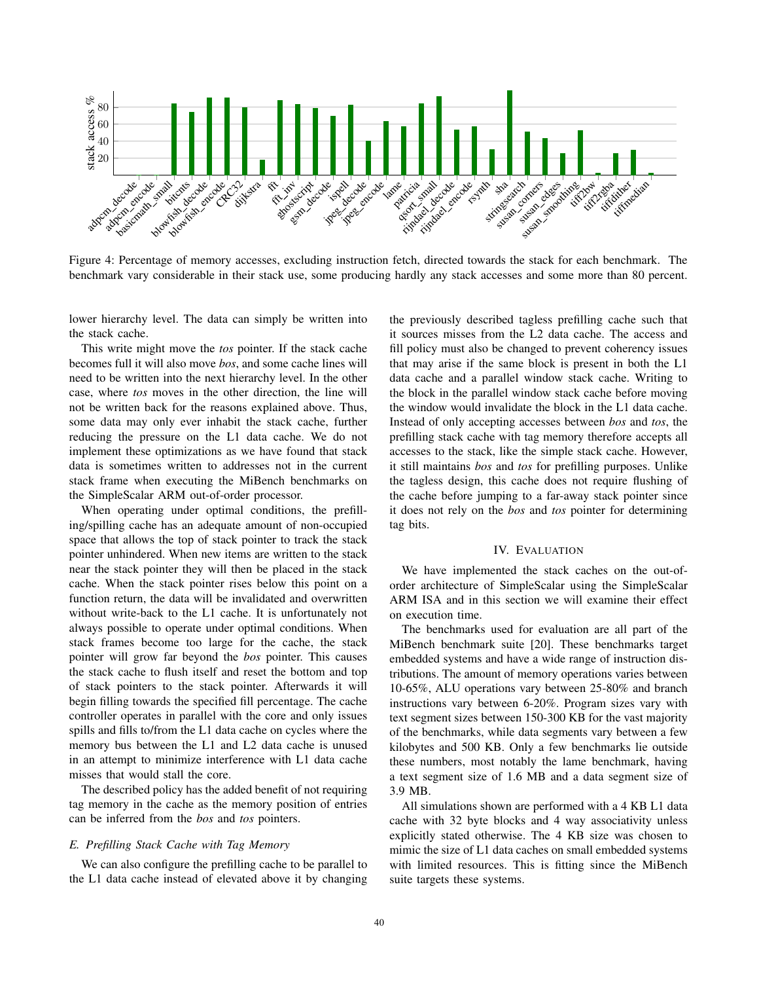

Figure 4: Percentage of memory accesses, excluding instruction fetch, directed towards the stack for each benchmark. The benchmark vary considerable in their stack use, some producing hardly any stack accesses and some more than 80 percent.

lower hierarchy level. The data can simply be written into the stack cache.

This write might move the *tos* pointer. If the stack cache becomes full it will also move *bos*, and some cache lines will need to be written into the next hierarchy level. In the other case, where *tos* moves in the other direction, the line will not be written back for the reasons explained above. Thus, some data may only ever inhabit the stack cache, further reducing the pressure on the L1 data cache. We do not implement these optimizations as we have found that stack data is sometimes written to addresses not in the current stack frame when executing the MiBench benchmarks on the SimpleScalar ARM out-of-order processor.

When operating under optimal conditions, the prefilling/spilling cache has an adequate amount of non-occupied space that allows the top of stack pointer to track the stack pointer unhindered. When new items are written to the stack near the stack pointer they will then be placed in the stack cache. When the stack pointer rises below this point on a function return, the data will be invalidated and overwritten without write-back to the L1 cache. It is unfortunately not always possible to operate under optimal conditions. When stack frames become too large for the cache, the stack pointer will grow far beyond the *bos* pointer. This causes the stack cache to flush itself and reset the bottom and top of stack pointers to the stack pointer. Afterwards it will begin filling towards the specified fill percentage. The cache controller operates in parallel with the core and only issues spills and fills to/from the L1 data cache on cycles where the memory bus between the L1 and L2 data cache is unused in an attempt to minimize interference with L1 data cache misses that would stall the core.

The described policy has the added benefit of not requiring tag memory in the cache as the memory position of entries can be inferred from the *bos* and *tos* pointers.

## *E. Prefilling Stack Cache with Tag Memory*

We can also configure the prefilling cache to be parallel to the L1 data cache instead of elevated above it by changing the previously described tagless prefilling cache such that it sources misses from the L2 data cache. The access and fill policy must also be changed to prevent coherency issues that may arise if the same block is present in both the L1 data cache and a parallel window stack cache. Writing to the block in the parallel window stack cache before moving the window would invalidate the block in the L1 data cache. Instead of only accepting accesses between *bos* and *tos*, the prefilling stack cache with tag memory therefore accepts all accesses to the stack, like the simple stack cache. However, it still maintains *bos* and *tos* for prefilling purposes. Unlike the tagless design, this cache does not require flushing of the cache before jumping to a far-away stack pointer since it does not rely on the *bos* and *tos* pointer for determining tag bits.

#### IV. EVALUATION

We have implemented the stack caches on the out-oforder architecture of SimpleScalar using the SimpleScalar ARM ISA and in this section we will examine their effect on execution time.

The benchmarks used for evaluation are all part of the MiBench benchmark suite [20]. These benchmarks target embedded systems and have a wide range of instruction distributions. The amount of memory operations varies between 10-65%, ALU operations vary between 25-80% and branch instructions vary between 6-20%. Program sizes vary with text segment sizes between 150-300 KB for the vast majority of the benchmarks, while data segments vary between a few kilobytes and 500 KB. Only a few benchmarks lie outside these numbers, most notably the lame benchmark, having a text segment size of 1.6 MB and a data segment size of 3.9 MB.

All simulations shown are performed with a 4 KB L1 data cache with 32 byte blocks and 4 way associativity unless explicitly stated otherwise. The 4 KB size was chosen to mimic the size of L1 data caches on small embedded systems with limited resources. This is fitting since the MiBench suite targets these systems.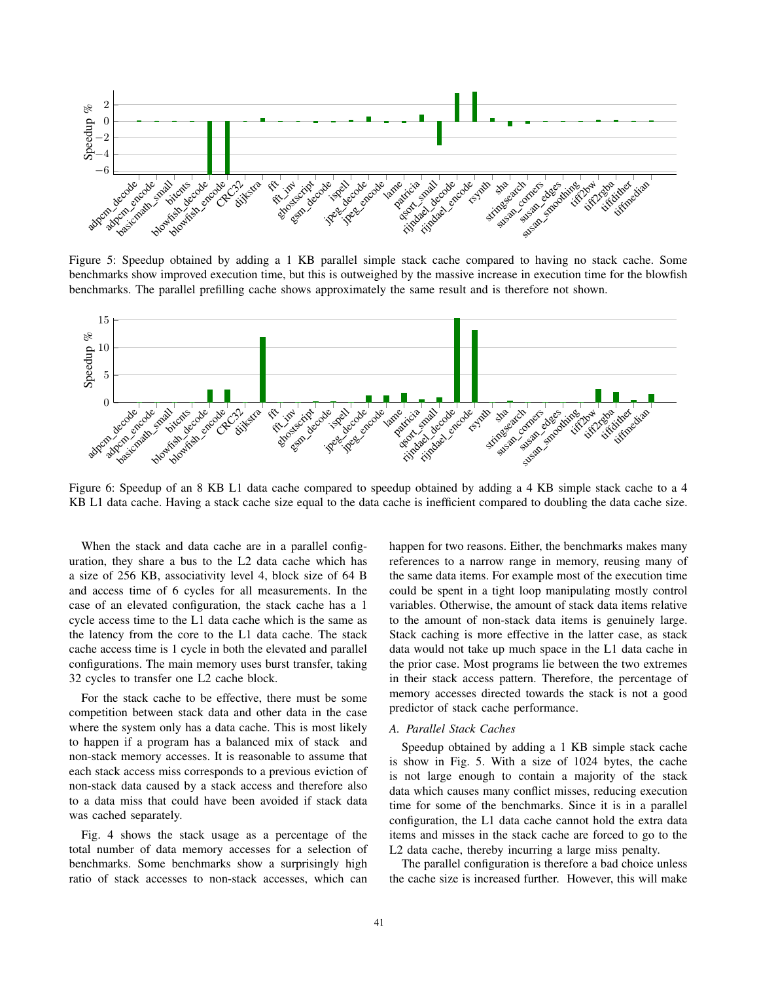

Figure 5: Speedup obtained by adding a 1 KB parallel simple stack cache compared to having no stack cache. Some benchmarks show improved execution time, but this is outweighed by the massive increase in execution time for the blowfish benchmarks. The parallel prefilling cache shows approximately the same result and is therefore not shown.



Figure 6: Speedup of an 8 KB L1 data cache compared to speedup obtained by adding a 4 KB simple stack cache to a 4 KB L1 data cache. Having a stack cache size equal to the data cache is inefficient compared to doubling the data cache size.

When the stack and data cache are in a parallel configuration, they share a bus to the L2 data cache which has a size of 256 KB, associativity level 4, block size of 64 B and access time of 6 cycles for all measurements. In the case of an elevated configuration, the stack cache has a 1 cycle access time to the L1 data cache which is the same as the latency from the core to the L1 data cache. The stack cache access time is 1 cycle in both the elevated and parallel configurations. The main memory uses burst transfer, taking 32 cycles to transfer one L2 cache block.

For the stack cache to be effective, there must be some competition between stack data and other data in the case where the system only has a data cache. This is most likely to happen if a program has a balanced mix of stack and non-stack memory accesses. It is reasonable to assume that each stack access miss corresponds to a previous eviction of non-stack data caused by a stack access and therefore also to a data miss that could have been avoided if stack data was cached separately.

Fig. 4 shows the stack usage as a percentage of the total number of data memory accesses for a selection of benchmarks. Some benchmarks show a surprisingly high ratio of stack accesses to non-stack accesses, which can

happen for two reasons. Either, the benchmarks makes many references to a narrow range in memory, reusing many of the same data items. For example most of the execution time could be spent in a tight loop manipulating mostly control variables. Otherwise, the amount of stack data items relative to the amount of non-stack data items is genuinely large. Stack caching is more effective in the latter case, as stack data would not take up much space in the L1 data cache in the prior case. Most programs lie between the two extremes in their stack access pattern. Therefore, the percentage of memory accesses directed towards the stack is not a good predictor of stack cache performance.

### *A. Parallel Stack Caches*

Speedup obtained by adding a 1 KB simple stack cache is show in Fig. 5. With a size of 1024 bytes, the cache is not large enough to contain a majority of the stack data which causes many conflict misses, reducing execution time for some of the benchmarks. Since it is in a parallel configuration, the L1 data cache cannot hold the extra data items and misses in the stack cache are forced to go to the L2 data cache, thereby incurring a large miss penalty.

The parallel configuration is therefore a bad choice unless the cache size is increased further. However, this will make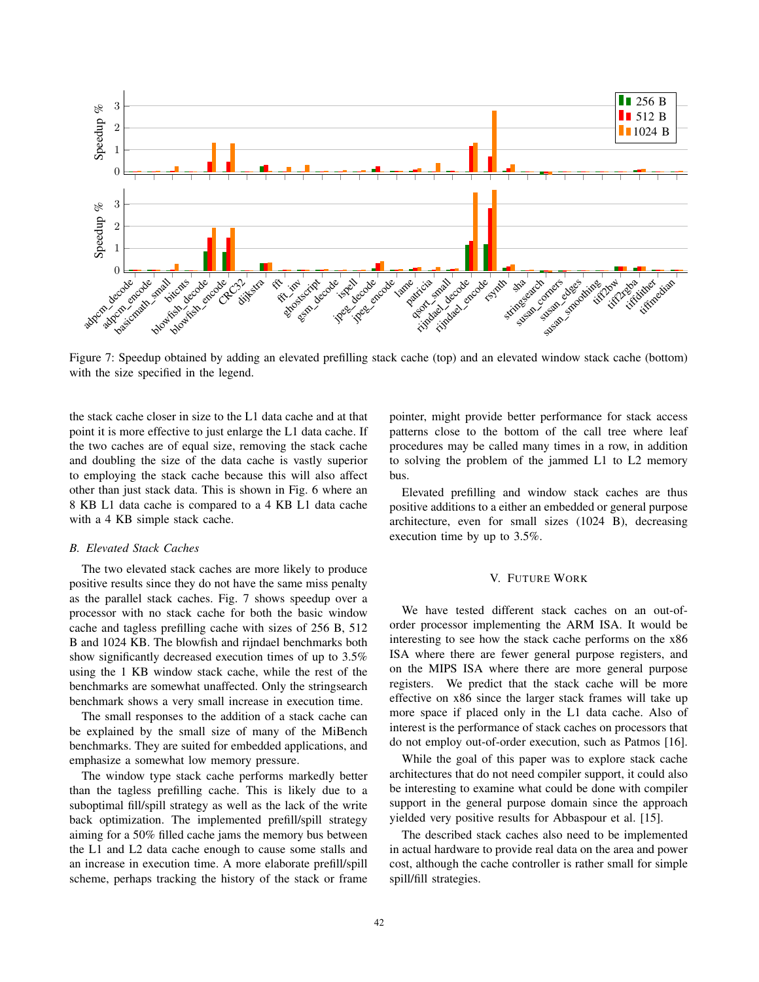

Figure 7: Speedup obtained by adding an elevated prefilling stack cache (top) and an elevated window stack cache (bottom) with the size specified in the legend.

the stack cache closer in size to the L1 data cache and at that point it is more effective to just enlarge the L1 data cache. If the two caches are of equal size, removing the stack cache and doubling the size of the data cache is vastly superior to employing the stack cache because this will also affect other than just stack data. This is shown in Fig. 6 where an 8 KB L1 data cache is compared to a 4 KB L1 data cache with a 4 KB simple stack cache.

## *B. Elevated Stack Caches*

The two elevated stack caches are more likely to produce positive results since they do not have the same miss penalty as the parallel stack caches. Fig. 7 shows speedup over a processor with no stack cache for both the basic window cache and tagless prefilling cache with sizes of 256 B, 512 B and 1024 KB. The blowfish and rijndael benchmarks both show significantly decreased execution times of up to 3.5% using the 1 KB window stack cache, while the rest of the benchmarks are somewhat unaffected. Only the stringsearch benchmark shows a very small increase in execution time.

The small responses to the addition of a stack cache can be explained by the small size of many of the MiBench benchmarks. They are suited for embedded applications, and emphasize a somewhat low memory pressure.

The window type stack cache performs markedly better than the tagless prefilling cache. This is likely due to a suboptimal fill/spill strategy as well as the lack of the write back optimization. The implemented prefill/spill strategy aiming for a 50% filled cache jams the memory bus between the L1 and L2 data cache enough to cause some stalls and an increase in execution time. A more elaborate prefill/spill scheme, perhaps tracking the history of the stack or frame pointer, might provide better performance for stack access patterns close to the bottom of the call tree where leaf procedures may be called many times in a row, in addition to solving the problem of the jammed L1 to L2 memory bus.

Elevated prefilling and window stack caches are thus positive additions to a either an embedded or general purpose architecture, even for small sizes (1024 B), decreasing execution time by up to 3.5%.

#### V. FUTURE WORK

We have tested different stack caches on an out-oforder processor implementing the ARM ISA. It would be interesting to see how the stack cache performs on the x86 ISA where there are fewer general purpose registers, and on the MIPS ISA where there are more general purpose registers. We predict that the stack cache will be more effective on x86 since the larger stack frames will take up more space if placed only in the L1 data cache. Also of interest is the performance of stack caches on processors that do not employ out-of-order execution, such as Patmos [16].

While the goal of this paper was to explore stack cache architectures that do not need compiler support, it could also be interesting to examine what could be done with compiler support in the general purpose domain since the approach yielded very positive results for Abbaspour et al. [15].

The described stack caches also need to be implemented in actual hardware to provide real data on the area and power cost, although the cache controller is rather small for simple spill/fill strategies.